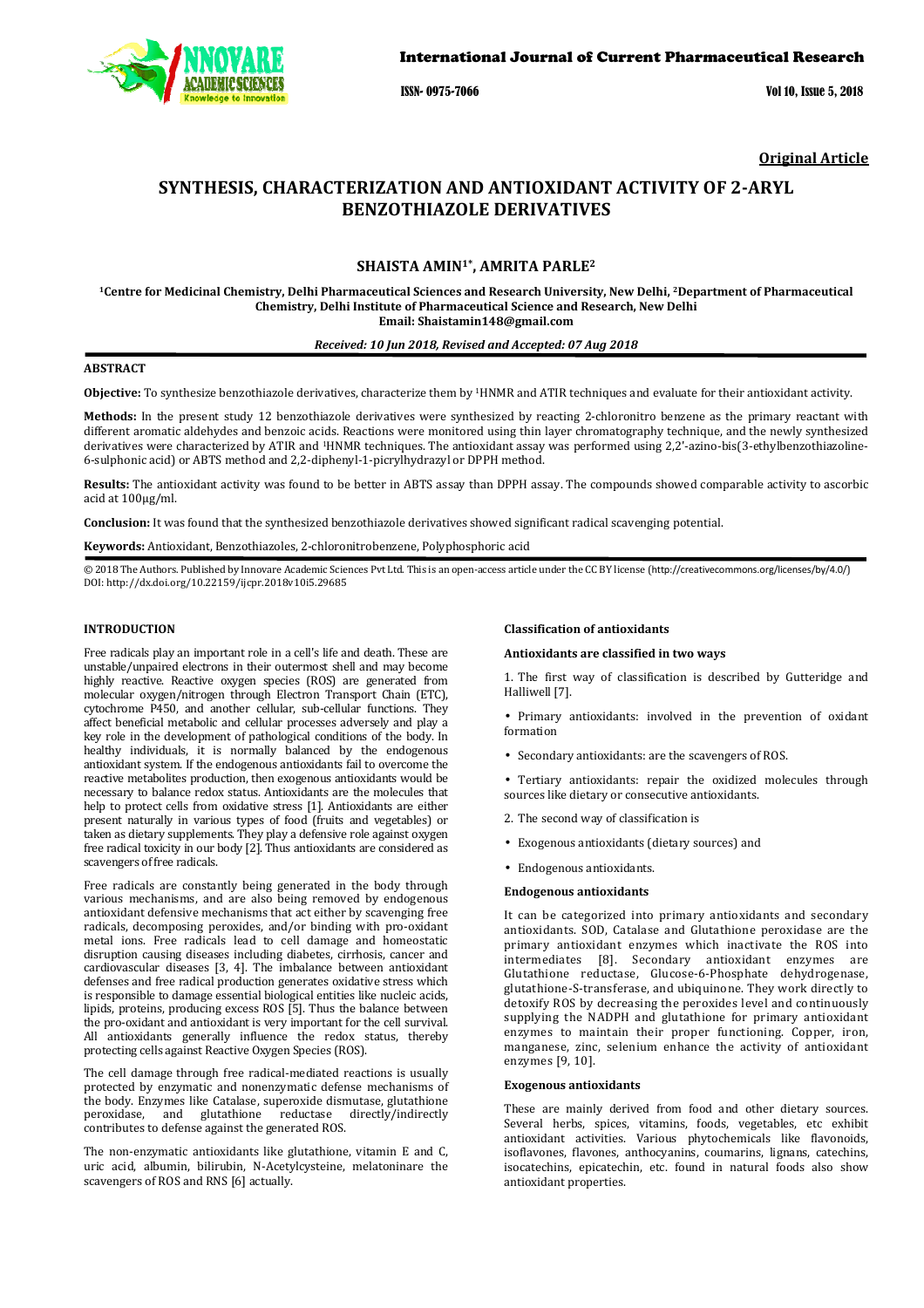

## International Journal of Current Pharmaceutical Research

ISSN- 0975-7066 Vol 10, Issue 5, 2018

**Original Article** 

# **SYNTHESIS, CHARACTERIZATION AND ANTIOXIDANT ACTIVITY OF 2-ARYL BENZOTHIAZOLE DERIVATIVES**

# **SHAISTA AMIN1\*, AMRITA PARLE<sup>2</sup>**

**<sup>1</sup>Centre for Medicinal Chemistry, Delhi Pharmaceutical Sciences and Research University, New Delhi, 2Department of Pharmaceutical Chemistry, Delhi Institute of Pharmaceutical Science and Research, New Delhi Email: Shaistamin148@gmail.com** 

### *Received: 10 Jun 2018, Revised and Accepted: 07 Aug 2018*

# **ABSTRACT**

**Objective:** To synthesize benzothiazole derivatives, characterize them by 1HNMR and ATIR techniques and evaluate for their antioxidant activity.

**Methods:** In the present study 12 benzothiazole derivatives were synthesized by reacting 2-chloronitro benzene as the primary reactant with different aromatic aldehydes and benzoic acids. Reactions were monitored using thin layer chromatography technique, and the newly synthesized derivatives were characterized by ATIR and <sup>1</sup>HNMR techniques. The antioxidant assay was performed using 2,2'-azino-bis(3-ethylbenzothiazoline-6-sulphonic acid) or ABTS method and 2,2-diphenyl-1-picrylhydrazyl or DPPH method.

**Results:** The antioxidant activity was found to be better in ABTS assay than DPPH assay. The compounds showed comparable activity to ascorbic acid at 100µg/ml.

**Conclusion:** It was found that the synthesized benzothiazole derivatives showed significant radical scavenging potential.

**Keywords:** Antioxidant, Benzothiazoles, 2-chloronitrobenzene, Polyphosphoric acid

© 2018 The Authors. Published by Innovare Academic Sciences Pvt Ltd. This is an open-access article under the CC BY license (http://creativecommons.org/licenses/by/4.0/) DOI: http://dx.doi.org/10.22159/ijcpr.2018v10i5.29685

### **INTRODUCTION**

Free radicals play an important role in a cell's life and death. These are unstable/unpaired electrons in their outermost shell and may become highly reactive. Reactive oxygen species (ROS) are generated from molecular oxygen/nitrogen through Electron Transport Chain (ETC), cytochrome P450, and another cellular, sub-cellular functions. They affect beneficial metabolic and cellular processes adversely and play a key role in the development of pathological conditions of the body. In healthy individuals, it is normally balanced by the endogenous antioxidant system. If the endogenous antioxidants fail to overcome the reactive metabolites production, then exogenous antioxidants would be necessary to balance redox status. Antioxidants are the molecules that help to protect cells from oxidative stress [1]. Antioxidants are either present naturally in various types of food (fruits and vegetables) or taken as dietary supplements. They play a defensive role against oxygen free radical toxicity in our body [2]. Thus antioxidants are considered as scavengers of free radicals.

Free radicals are constantly being generated in the body through various mechanisms, and are also being removed by endogenous antioxidant defensive mechanisms that act either by scavenging free radicals, decomposing peroxides, and/or binding with pro-oxidant metal ions. Free radicals lead to cell damage and homeostatic disruption causing diseases including diabetes, cirrhosis, cancer and cardiovascular diseases [3, 4]. The imbalance between antioxidant defenses and free radical production generates oxidative stress which is responsible to damage essential biological entities like nucleic acids, lipids, proteins, producing excess ROS [5]. Thus the balance between the pro-oxidant and antioxidant is very important for the cell survival. All antioxidants generally influence the redox status, thereby protecting cells against Reactive Oxygen Species (ROS).

The cell damage through free radical-mediated reactions is usually protected by enzymatic and nonenzymatic defense mechanisms of the body. Enzymes like Catalase, superoxide dismutase, glutathione and glutathione contributes to defense against the generated ROS.

The non-enzymatic antioxidants like glutathione, vitamin E and C, uric acid, albumin, bilirubin, N-Acetylcysteine, melatoninare the scavengers of ROS and RNS [6] actually.

#### **Classification of antioxidants**

## **Antioxidants are classified in two ways**

1. The first way of classification is described by Gutteridge and Halliwell [7].

- Primary antioxidants: involved in the prevention of oxidant formation
- Secondary antioxidants: are the scavengers of ROS.

• Tertiary antioxidants: repair the oxidized molecules through sources like dietary or consecutive antioxidants.

- 2. The second way of classification is
- Exogenous antioxidants (dietary sources) and
- Endogenous antioxidants.

# **Endogenous antioxidants**

It can be categorized into primary antioxidants and secondary antioxidants. SOD, Catalase and Glutathione peroxidase are the primary antioxidant enzymes which inactivate the ROS into intermediates [8]. Secondary antioxidant enzymes are Glutathione reductase, Glucose-6-Phosphate dehydrogenase, glutathione-S-transferase, and ubiquinone. They work directly to detoxify ROS by decreasing the peroxides level and continuously supplying the NADPH and glutathione for primary antioxidant enzymes to maintain their proper functioning. Copper, iron, manganese, zinc, selenium enhance the activity of antioxidant enzymes [9, 10].

#### **Exogenous antioxidants**

These are mainly derived from food and other dietary sources. Several herbs, spices, vitamins, foods, vegetables, etc exhibit antioxidant activities. Various phytochemicals like flavonoids, isoflavones, flavones, anthocyanins, coumarins, lignans, catechins, isocatechins, epicatechin, etc. found in natural foods also show antioxidant properties.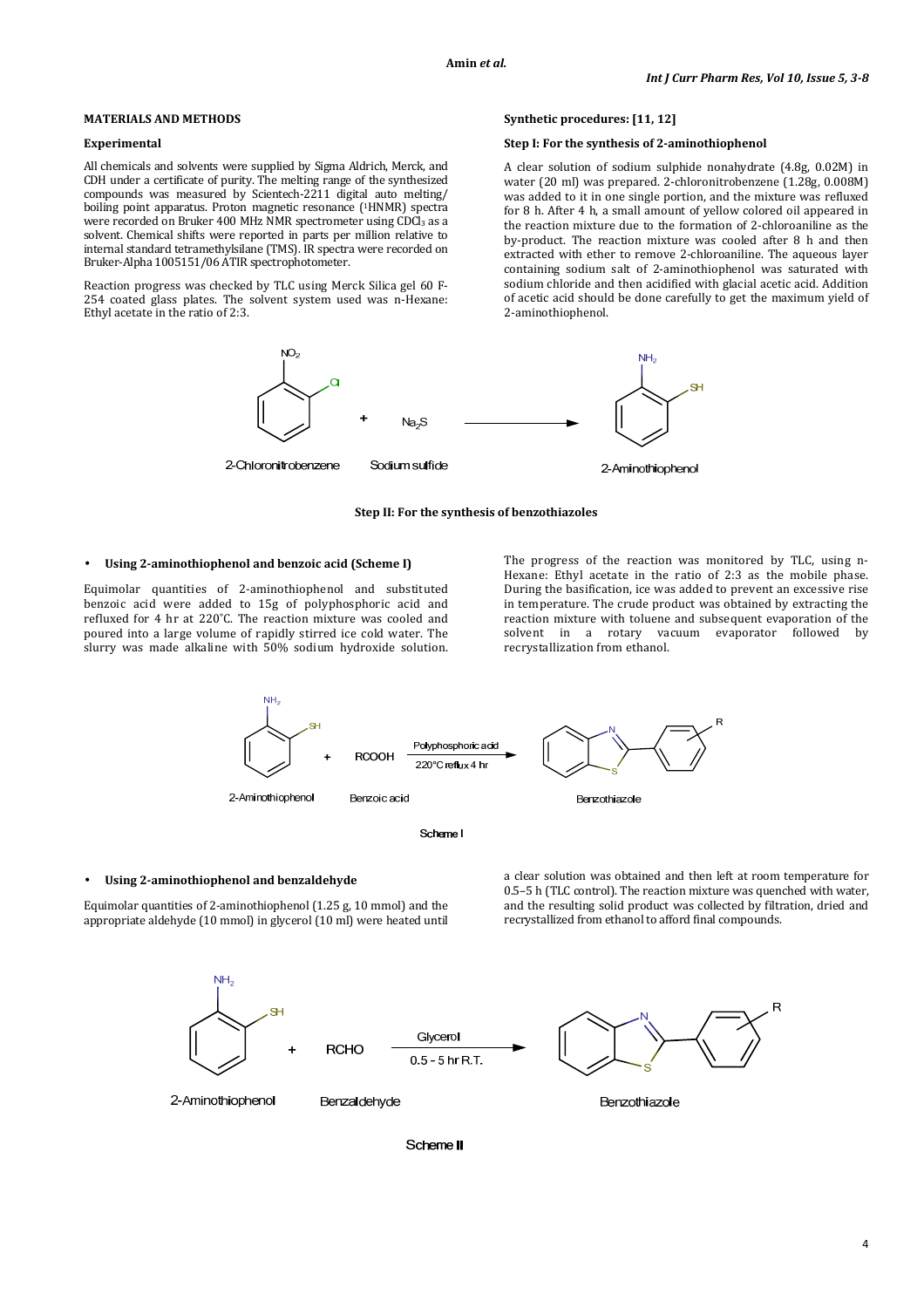# **MATERIALS AND METHODS**

### **Experimental**

All chemicals and solvents were supplied by Sigma Aldrich, Merck, and CDH under a certificate of purity. The melting range of the synthesized compounds was measured by Scientech-2211 digital auto melting/ boiling point apparatus. Proton magnetic resonance ( <sup>1</sup>HNMR) spectra were recorded on Bruker 400 MHz NMR spectrometer using CDCl<sub>3</sub> as a solvent. Chemical shifts were reported in parts per million relative to internal standard tetramethylsilane (TMS). IR spectra were recorded on Bruker-Alpha 1005151/06 ATIR spectrophotometer.

Reaction progress was checked by TLC using Merck Silica gel 60 F-254 coated glass plates. The solvent system used was n-Hexane: Ethyl acetate in the ratio of 2:3.

### **Synthetic procedures: [11, 12]**

## **Step I: For the synthesis of 2-aminothiophenol**

A clear solution of sodium sulphide nonahydrate (4.8g, 0.02M) in water (20 ml) was prepared. 2-chloronitrobenzene (1.28g, 0.008M) was added to it in one single portion, and the mixture was refluxed for 8 h. After 4 h, a small amount of yellow colored oil appeared in the reaction mixture due to the formation of 2-chloroaniline as the by-product. The reaction mixture was cooled after 8 h and then extracted with ether to remove 2-chloroaniline. The aqueous layer containing sodium salt of 2-aminothiophenol was saturated with sodium chloride and then acidified with glacial acetic acid. Addition of acetic acid should be done carefully to get the maximum yield of 2-aminothiophenol.



#### **Step II: For the synthesis of benzothiazoles**

### • **Using 2-aminothiophenol and benzoic acid (Scheme I)**

Equimolar quantities of 2-aminothiophenol and substituted benzoic acid were added to 15g of polyphosphoric acid and refluxed for 4 hr at 220˚C. The reaction mixture was cooled and poured into a large volume of rapidly stirred ice cold water. The slurry was made alkaline with 50% sodium hydroxide solution. The progress of the reaction was monitored by TLC, using n-Hexane: Ethyl acetate in the ratio of 2:3 as the mobile phase. During the basification, ice was added to prevent an excessive rise in temperature. The crude product was obtained by extracting the reaction mixture with toluene and subsequent evaporation of the solvent in a rotary vacuum evaporator followed by recrystallization from ethanol.





#### • **Using 2-aminothiophenol and benzaldehyde**

Equimolar quantities of 2-aminothiophenol (1.25 g, 10 mmol) and the appropriate aldehyde (10 mmol) in glycerol (10 ml) were heated until a clear solution was obtained and then left at room temperature for 0.5–5 h (TLC control). The reaction mixture was quenched with water, and the resulting solid product was collected by filtration, dried and recrystallized from ethanol to afford final compounds.



Scheme II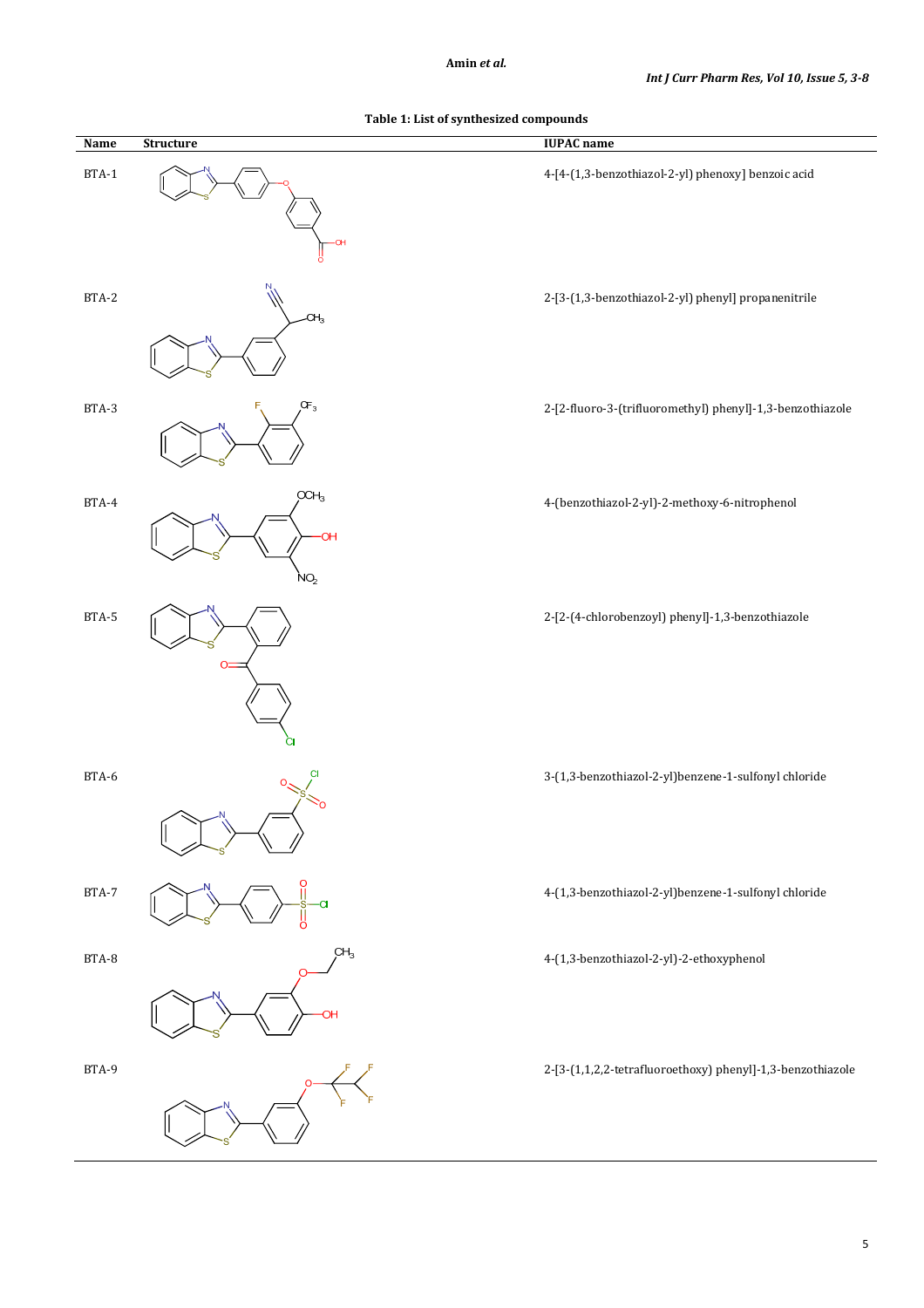# **Amin** *et al.*

**Table 1: List of synthesized compounds** 

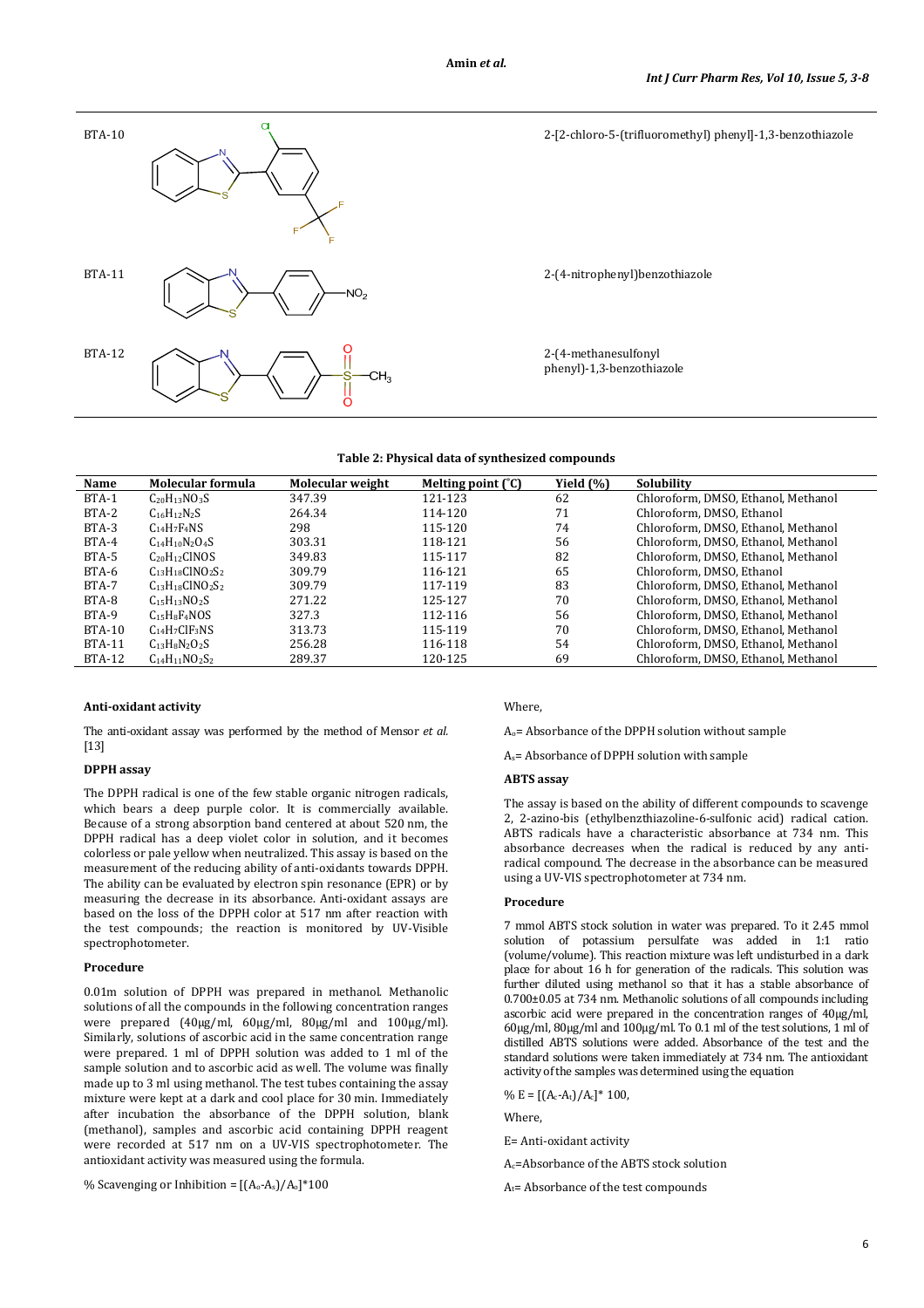

**Table 2: Physical data of synthesized compounds** 

| Name          | Molecular formula              | Molecular weight | Melting point $(°C)$ | Yield (%) | Solubility                          |
|---------------|--------------------------------|------------------|----------------------|-----------|-------------------------------------|
| BTA-1         | $C_{20}H_{12}NO_3S$            | 347.39           | 121-123              | 62        | Chloroform, DMSO, Ethanol, Methanol |
| BTA-2         | $C_{16}H_{12}N_2S$             | 264.34           | 114-120              | 71        | Chloroform, DMSO, Ethanol           |
| BTA-3         | $C14H7F4NS$                    | 298              | 115-120              | 74        | Chloroform, DMSO, Ethanol, Methanol |
| BTA-4         | $C_{14}H_{10}N_{2}O_{4}S$      | 303.31           | 118-121              | 56        | Chloroform, DMSO, Ethanol, Methanol |
| BTA-5         | $C_{20}H_{12}CINOS$            | 349.83           | 115-117              | 82        | Chloroform, DMSO, Ethanol, Methanol |
| BTA-6         | $C_{13}H_{18}CINO_2S_2$        | 309.79           | 116-121              | 65        | Chloroform, DMSO, Ethanol           |
| BTA-7         | $C_{13}H_{18}CINO_2S_2$        | 309.79           | 117-119              | 83        | Chloroform, DMSO, Ethanol, Methanol |
| BTA-8         | $C_{15}H_{13}NO_{2}S$          | 271.22           | 125-127              | 70        | Chloroform, DMSO, Ethanol, Methanol |
| BTA-9         | $C_1$ <sub>5</sub> $H_8F_4NOS$ | 327.3            | 112-116              | 56        | Chloroform, DMSO, Ethanol, Methanol |
| <b>BTA-10</b> | $C14H7ClF3NS$                  | 313.73           | 115-119              | 70        | Chloroform, DMSO, Ethanol, Methanol |
| <b>BTA-11</b> | $C_{13}H_8N_2O_2S$             | 256.28           | 116-118              | 54        | Chloroform, DMSO, Ethanol, Methanol |
| <b>BTA-12</b> | $C_{14}H_{11}NO_2S_2$          | 289.37           | 120-125              | 69        | Chloroform, DMSO, Ethanol, Methanol |

# **Anti-oxidant activity**

The anti-oxidant assay was performed by the method of Mensor *et al.*  [13]

### **DPPH assay**

The DPPH radical is one of the few stable organic nitrogen radicals, which bears a deep purple color. It is commercially available. Because of a strong absorption band centered at about 520 nm, the DPPH radical has a deep violet color in solution, and it becomes colorless or pale yellow when neutralized. This assay is based on the measurement of the reducing ability of anti-oxidants towards DPPH. The ability can be evaluated by electron spin resonance (EPR) or by measuring the decrease in its absorbance. Anti-oxidant assays are based on the loss of the DPPH color at 517 nm after reaction with the test compounds; the reaction is monitored by UV-Visible spectrophotometer.

### **Procedure**

0.01m solution of DPPH was prepared in methanol. Methanolic solutions of all the compounds in the following concentration ranges were prepared (40µg/ml, 60µg/ml, 80µg/ml and 100µg/ml). Similarly, solutions of ascorbic acid in the same concentration range were prepared. 1 ml of DPPH solution was added to 1 ml of the sample solution and to ascorbic acid as well. The volume was finally made up to 3 ml using methanol. The test tubes containing the assay mixture were kept at a dark and cool place for 30 min. Immediately after incubation the absorbance of the DPPH solution, blank (methanol), samples and ascorbic acid containing DPPH reagent were recorded at 517 nm on a UV-VIS spectrophotometer. The antioxidant activity was measured using the formula.

% Scavenging or Inhibition =  $[(A_0-A_s)/A_0]^*100$ 

Where,

Ao= Absorbance of the DPPH solution without sample

As= Absorbance of DPPH solution with sample

### **ABTS assay**

The assay is based on the ability of different compounds to scavenge 2, 2-azino-bis (ethylbenzthiazoline-6-sulfonic acid) radical cation. ABTS radicals have a characteristic absorbance at 734 nm. This absorbance decreases when the radical is reduced by any antiradical compound. The decrease in the absorbance can be measured using a UV-VIS spectrophotometer at 734 nm.

### **Procedure**

7 mmol ABTS stock solution in water was prepared. To it 2.45 mmol solution of potassium persulfate was added in 1:1 ratio (volume/volume). This reaction mixture was left undisturbed in a dark place for about 16 h for generation of the radicals. This solution was further diluted using methanol so that it has a stable absorbance of 0.700±0.05 at 734 nm. Methanolic solutions of all compounds including ascorbic acid were prepared in the concentration ranges of 40µg/ml, 60µg/ml, 80µg/ml and 100µg/ml. To 0.1 ml of the test solutions, 1 ml of distilled ABTS solutions were added. Absorbance of the test and the standard solutions were taken immediately at 734 nm. The antioxidant activity of the samples was determined using the equation

% E =  $[(A_c-A_t)/A_c]^*$  100,

Where,

E= Anti-oxidant activity

Ac=Absorbance of the ABTS stock solution

 $A_t$ = Absorbance of the test compounds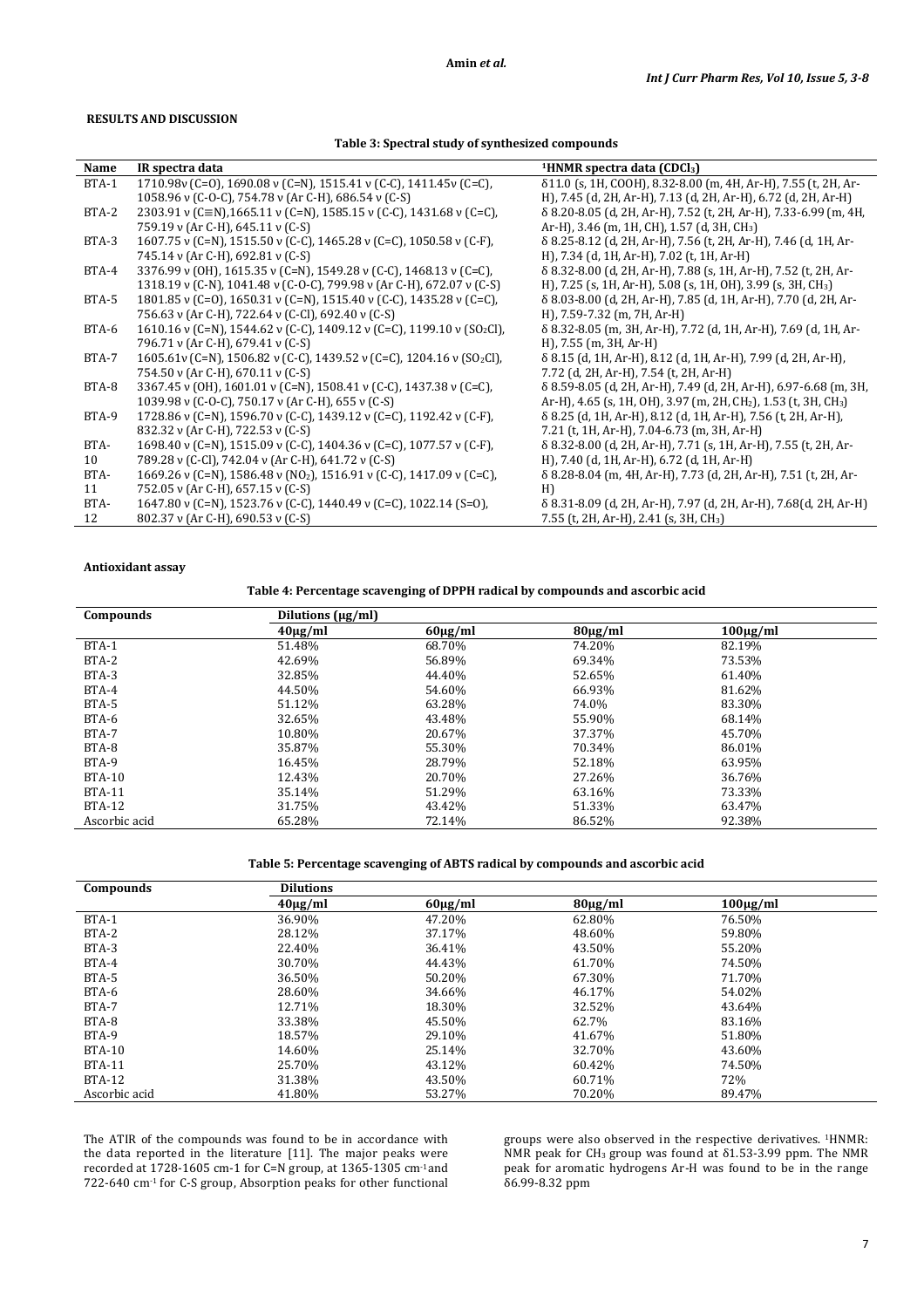# **RESULTS AND DISCUSSION**

# **Table 3: Spectral study of synthesized compounds**

| Name  | IR spectra data                                                                                    | <sup>1</sup> HNMR spectra data (CDCl <sub>3</sub> )                                     |
|-------|----------------------------------------------------------------------------------------------------|-----------------------------------------------------------------------------------------|
| BTA-1 | 1710.98 $v$ (C=0), 1690.08 $v$ (C=N), 1515.41 $v$ (C-C), 1411.45 $v$ (C=C),                        | 811.0 (s, 1H, COOH), 8.32-8.00 (m, 4H, Ar-H), 7.55 (t, 2H, Ar-                          |
|       | 1058.96 v (C-O-C), 754.78 v (Ar C-H), 686.54 v (C-S)                                               | H), 7.45 (d, 2H, Ar-H), 7.13 (d, 2H, Ar-H), 6.72 (d, 2H, Ar-H)                          |
| BTA-2 | 2303.91 v (C=N),1665.11 v (C=N), 1585.15 v (C-C), 1431.68 v (C=C),                                 | δ 8.20-8.05 (d, 2H, Ar-H), 7.52 (t, 2H, Ar-H), 7.33-6.99 (m, 4H,                        |
|       | 759.19 v (Ar C-H), 645.11 v (C-S)                                                                  | Ar-H), 3.46 (m, 1H, CH), 1.57 (d, 3H, CH <sub>3</sub> )                                 |
| BTA-3 | $1607.75$ v (C=N), 1515.50 v (C-C), 1465.28 v (C=C), 1050.58 v (C-F),                              | δ 8.25-8.12 (d, 2H, Ar-H), 7.56 (t, 2H, Ar-H), 7.46 (d, 1H, Ar-                         |
|       | 745.14 v (Ar C-H), 692.81 v (C-S)                                                                  | H), 7.34 (d, 1H, Ar-H), 7.02 (t, 1H, Ar-H)                                              |
| BTA-4 | $3376.99$ v (OH), 1615.35 v (C=N), 1549.28 v (C-C), 1468.13 v (C=C),                               | δ 8.32-8.00 (d, 2H, Ar-H), 7.88 (s, 1H, Ar-H), 7.52 (t, 2H, Ar-                         |
|       | 1318.19 v (C-N), 1041.48 v (C-O-C), 799.98 v (Ar C-H), 672.07 v (C-S)                              | H), 7.25 (s, 1H, Ar-H), 5.08 (s, 1H, OH), 3.99 (s, 3H, CH <sub>3</sub> )                |
| BTA-5 | 1801.85 v (C=O), 1650.31 v (C=N), 1515.40 v (C-C), 1435.28 v (C=C),                                | δ 8.03-8.00 (d, 2H, Ar-H), 7.85 (d, 1H, Ar-H), 7.70 (d, 2H, Ar-                         |
|       | 756.63 v (Ar C-H), 722.64 v (C-Cl), 692.40 v (C-S)                                                 | H), 7.59-7.32 (m, 7H, Ar-H)                                                             |
| BTA-6 | 1610.16 v (C=N), 1544.62 v (C-C), 1409.12 v (C=C), 1199.10 v (SO2Cl),                              | δ 8.32-8.05 (m, 3H, Ar-H), 7.72 (d, 1H, Ar-H), 7.69 (d, 1H, Ar-                         |
|       | 796.71 v (Ar C-H), 679.41 v (C-S)                                                                  | $H$ ), 7.55 (m, 3H, Ar-H)                                                               |
| BTA-7 | 1605.61 $\nu$ (C=N), 1506.82 $\nu$ (C-C), 1439.52 $\nu$ (C=C), 1204.16 $\nu$ (SO <sub>2</sub> Cl), | δ 8.15 (d, 1H, Ar-H), 8.12 (d, 1H, Ar-H), 7.99 (d, 2H, Ar-H),                           |
|       | 754.50 v (Ar C-H), 670.11 v (C-S)                                                                  | 7.72 (d, 2H, Ar-H), 7.54 (t, 2H, Ar-H)                                                  |
| BTA-8 | 3367.45 v (OH), 1601.01 v (C=N), 1508.41 v (C-C), 1437.38 v (C=C),                                 | δ 8.59-8.05 (d, 2H, Ar-H), 7.49 (d, 2H, Ar-H), 6.97-6.68 (m, 3H,                        |
|       | 1039.98 v (C-O-C), 750.17 v (Ar C-H), 655 v (C-S)                                                  | Ar-H), 4.65 (s, 1H, OH), 3.97 (m, 2H, CH <sub>2</sub> ), 1.53 (t, 3H, CH <sub>3</sub> ) |
| BTA-9 | 1728.86 v (C=N), 1596.70 v (C-C), 1439.12 v (C=C), 1192.42 v (C-F),                                | δ 8.25 (d, 1H, Ar-H), 8.12 (d, 1H, Ar-H), 7.56 (t, 2H, Ar-H),                           |
|       | 832.32 v (Ar C-H), 722.53 v (C-S)                                                                  | 7.21 (t, 1H, Ar-H), 7.04-6.73 (m, 3H, Ar-H)                                             |
| BTA-  | 1698.40 v (C=N), 1515.09 v (C-C), 1404.36 v (C=C), 1077.57 v (C-F),                                | δ 8.32-8.00 (d, 2H, Ar-H), 7.71 (s, 1H, Ar-H), 7.55 (t, 2H, Ar-                         |
| 10    | 789.28 v (C-Cl), 742.04 v (Ar C-H), 641.72 v (C-S)                                                 | H), 7.40 (d, 1H, Ar-H), 6.72 (d, 1H, Ar-H)                                              |
| BTA-  | 1669.26 v (C=N), 1586.48 v (NO <sub>2</sub> ), 1516.91 v (C-C), 1417.09 v (C=C),                   | δ 8.28-8.04 (m, 4H, Ar-H), 7.73 (d, 2H, Ar-H), 7.51 (t, 2H, Ar-                         |
| 11    | 752.05 v (Ar C-H), 657.15 v (C-S)                                                                  | H)                                                                                      |
| BTA-  | 1647.80 v (C=N), 1523.76 v (C-C), 1440.49 v (C=C), 1022.14 (S=0),                                  | $\delta$ 8.31-8.09 (d, 2H, Ar-H), 7.97 (d, 2H, Ar-H), 7.68 (d, 2H, Ar-H)                |
| 12    | 802.37 v (Ar C-H), 690.53 v (C-S)                                                                  | 7.55 (t, 2H, Ar-H), 2.41 (s, 3H, CH <sub>3</sub> )                                      |

#### **Antioxidant assay**

**Table 4: Percentage scavenging of DPPH radical by compounds and ascorbic acid** 

| Compounds     | Dilutions $(\mu g/ml)$ |              |              |               |
|---------------|------------------------|--------------|--------------|---------------|
|               | $40\mu g/ml$           | $60\mu g/ml$ | $80\mu g/ml$ | $100\mu g/ml$ |
| BTA-1         | 51.48%                 | 68.70%       | 74.20%       | 82.19%        |
| BTA-2         | 42.69%                 | 56.89%       | 69.34%       | 73.53%        |
| BTA-3         | 32.85%                 | 44.40%       | 52.65%       | 61.40%        |
| BTA-4         | 44.50%                 | 54.60%       | 66.93%       | 81.62%        |
| BTA-5         | 51.12%                 | 63.28%       | 74.0%        | 83.30%        |
| BTA-6         | 32.65%                 | 43.48%       | 55.90%       | 68.14%        |
| BTA-7         | 10.80%                 | 20.67%       | 37.37%       | 45.70%        |
| BTA-8         | 35.87%                 | 55.30%       | 70.34%       | 86.01%        |
| BTA-9         | 16.45%                 | 28.79%       | 52.18%       | 63.95%        |
| <b>BTA-10</b> | 12.43%                 | 20.70%       | 27.26%       | 36.76%        |
| <b>BTA-11</b> | 35.14%                 | 51.29%       | 63.16%       | 73.33%        |
| <b>BTA-12</b> | 31.75%                 | 43.42%       | 51.33%       | 63.47%        |
| Ascorbic acid | 65.28%                 | 72.14%       | 86.52%       | 92.38%        |

**Table 5: Percentage scavenging of ABTS radical by compounds and ascorbic acid**

| Compounds     | <b>Dilutions</b> |              |              |               |  |
|---------------|------------------|--------------|--------------|---------------|--|
|               | $40\mu g/ml$     | $60\mu g/ml$ | $80\mu g/ml$ | $100\mu g/ml$ |  |
| BTA-1         | 36.90%           | 47.20%       | 62.80%       | 76.50%        |  |
| BTA-2         | 28.12%           | 37.17%       | 48.60%       | 59.80%        |  |
| BTA-3         | 22.40%           | 36.41%       | 43.50%       | 55.20%        |  |
| BTA-4         | 30.70%           | 44.43%       | 61.70%       | 74.50%        |  |
| BTA-5         | 36.50%           | 50.20%       | 67.30%       | 71.70%        |  |
| BTA-6         | 28.60%           | 34.66%       | 46.17%       | 54.02%        |  |
| BTA-7         | 12.71%           | 18.30%       | 32.52%       | 43.64%        |  |
| BTA-8         | 33.38%           | 45.50%       | 62.7%        | 83.16%        |  |
| BTA-9         | 18.57%           | 29.10%       | 41.67%       | 51.80%        |  |
| <b>BTA-10</b> | 14.60%           | 25.14%       | 32.70%       | 43.60%        |  |
| <b>BTA-11</b> | 25.70%           | 43.12%       | 60.42%       | 74.50%        |  |
| <b>BTA-12</b> | 31.38%           | 43.50%       | 60.71%       | 72%           |  |
| Ascorbic acid | 41.80%           | 53.27%       | 70.20%       | 89.47%        |  |

The ATIR of the compounds was found to be in accordance with the data reported in the literature [11]. The major peaks were recorded at 1728-1605 cm-1 for C=N group, at 1365-1305 cm-1and 722-640 cm-1 for C-S group, Absorption peaks for other functional groups were also observed in the respective derivatives. 1HNMR: NMR peak for CH3 group was found at δ1.53-3.99 ppm. The NMR peak for aromatic hydrogens Ar-H was found to be in the range δ6.99-8.32 ppm